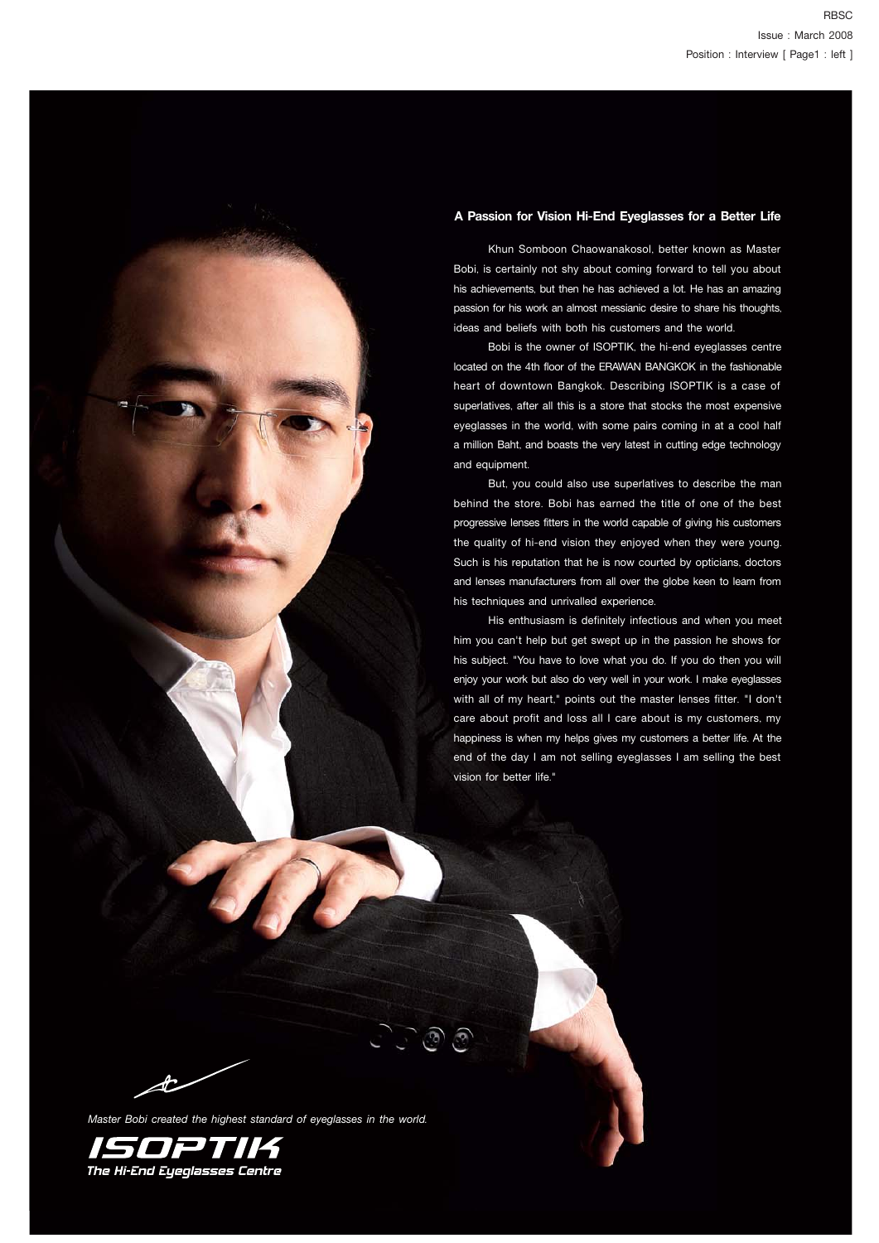### **A Passion for Vision Hi-End Eyeglasses for a Better Life**

 Khun Somboon Chaowanakosol, better known as Master Bobi, is certainly not shy about coming forward to tell you about his achievements, but then he has achieved a lot. He has an amazing passion for his work an almost messianic desire to share his thoughts, ideas and beliefs with both his customers and the world.

 Bobi is the owner of ISOPTIK, the hi-end eyeglasses centre located on the 4th floor of the ERAWAN BANGKOK in the fashionable heart of downtown Bangkok. Describing ISOPTIK is a case of superlatives, after all this is a store that stocks the most expensive eyeglasses in the world, with some pairs coming in at a cool half a million Baht, and boasts the very latest in cutting edge technology and equipment.

 But, you could also use superlatives to describe the man behind the store. Bobi has earned the title of one of the best progressive lenses fitters in the world capable of giving his customers the quality of hi-end vision they enjoyed when they were young. Such is his reputation that he is now courted by opticians, doctors and lenses manufacturers from all over the globe keen to learn from his techniques and unrivalled experience.

 His enthusiasm is definitely infectious and when you meet him you can't help but get swept up in the passion he shows for his subject. "You have to love what you do. If you do then you will enjoy your work but also do very well in your work. I make eyeglasses with all of my heart," points out the master lenses fitter. "I don't care about profit and loss all I care about is my customers, my happiness is when my helps gives my customers a better life. At the end of the day I am not selling eyeglasses I am selling the best vision for better life."

Æ

*Master Bobi created the highest standard of eyeglasses in the world.*

<u>والوارا</u>

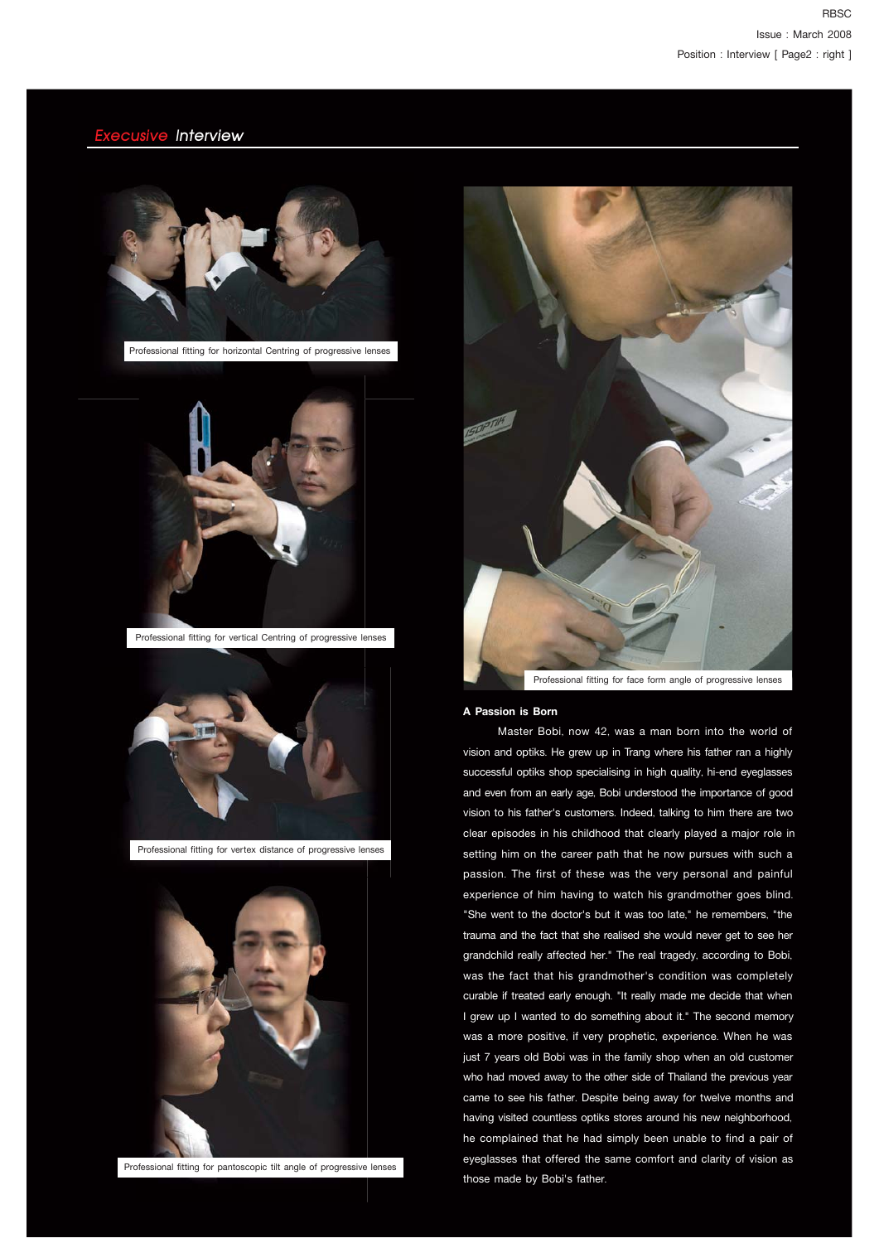

Professional fitting for vertical Centring of progressive lenses



Professional fitting for vertex distance of progressive lenses



Professional fitting for pantoscopic tilt angle of progressive lenses



#### **A Passion is Born**

 Master Bobi, now 42, was a man born into the world of vision and optiks. He grew up in Trang where his father ran a highly successful optiks shop specialising in high quality, hi-end eyeglasses and even from an early age, Bobi understood the importance of good vision to his father's customers. Indeed, talking to him there are two clear episodes in his childhood that clearly played a major role in setting him on the career path that he now pursues with such a passion. The first of these was the very personal and painful experience of him having to watch his grandmother goes blind. "She went to the doctor's but it was too late," he remembers, "the trauma and the fact that she realised she would never get to see her grandchild really affected her." The real tragedy, according to Bobi, was the fact that his grandmother's condition was completely curable if treated early enough. "It really made me decide that when I grew up I wanted to do something about it." The second memory was a more positive, if very prophetic, experience. When he was just 7 years old Bobi was in the family shop when an old customer who had moved away to the other side of Thailand the previous year came to see his father. Despite being away for twelve months and having visited countless optiks stores around his new neighborhood, he complained that he had simply been unable to find a pair of eyeglasses that offered the same comfort and clarity of vision as those made by Bobi's father.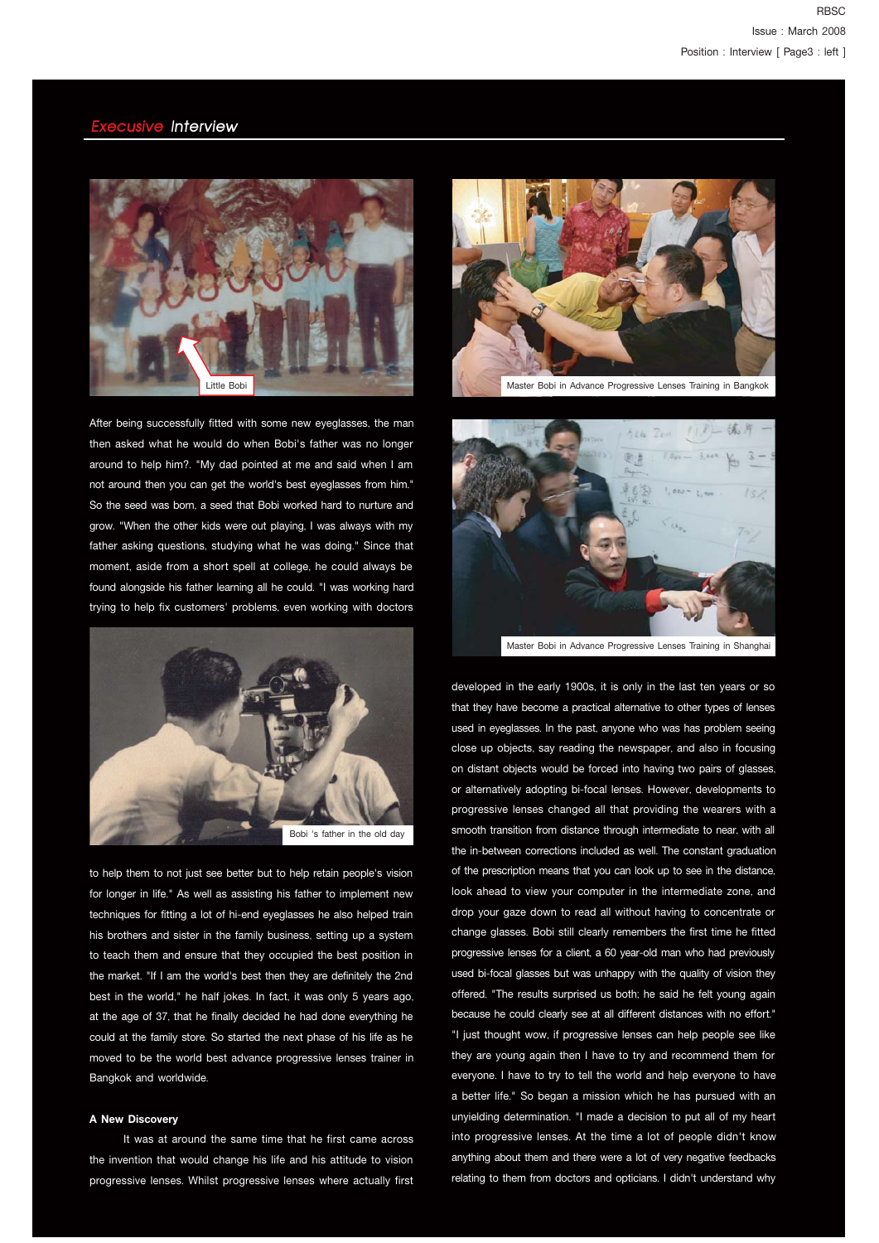

After being successfully fitted with some new eyeglasses, the man then asked what he would do when Bobi's father was no longer around to help him?. "My dad pointed at me and said when I am not around then you can get the world's best eyeglasses from him." So the seed was born, a seed that Bobi worked hard to nurture and grow. "When the other kids were out playing, I was always with my father asking questions, studying what he was doing." Since that moment, aside from a short spell at college, he could always be found alongside his father learning all he could. "I was working hard trying to help fix customers' problems, even working with doctors



to help them to not just see better but to help retain people's vision for longer in life." As well as assisting his father to implement new techniques for fitting a lot of hi-end eyeglasses he also helped train his brothers and sister in the family business, setting up a system to teach them and ensure that they occupied the best position in the market. "If I am the world's best then they are definitely the 2nd best in the world," he half jokes. In fact, it was only 5 years ago, at the age of 37, that he finally decided he had done everything he could at the family store. So started the next phase of his life as he moved to be the world best advance progressive lenses trainer in Bangkok and worldwide.

#### **A New Discovery**

 It was at around the same time that he first came across the invention that would change his life and his attitude to vision progressive lenses. Whilst progressive lenses where actually first



Master Bobi in Advance Progressive Lenses Training in Bangkok



Master Bobi in Advance Progressive Lenses Training in Shanghai

developed in the early 1900s, it is only in the last ten years or so that they have become a practical alternative to other types of lenses used in eyeglasses. In the past, anyone who was has problem seeing close up objects, say reading the newspaper, and also in focusing on distant objects would be forced into having two pairs of glasses, or alternatively adopting bi-focal lenses. However, developments to progressive lenses changed all that providing the wearers with a smooth transition from distance through intermediate to near, with all the in-between corrections included as well. The constant graduation of the prescription means that you can look up to see in the distance, look ahead to view your computer in the intermediate zone, and drop your gaze down to read all without having to concentrate or change glasses. Bobi still clearly remembers the first time he fitted progressive lenses for a client, a 60 year-old man who had previously used bi-focal glasses but was unhappy with the quality of vision they offered. "The results surprised us both; he said he felt young again because he could clearly see at all different distances with no effort." "I just thought wow, if progressive lenses can help people see like they are young again then I have to try and recommend them for everyone. I have to try to tell the world and help everyone to have a better life." So began a mission which he has pursued with an unyielding determination. "I made a decision to put all of my heart into progressive lenses. At the time a lot of people didn't know anything about them and there were a lot of very negative feedbacks relating to them from doctors and opticians. I didn't understand why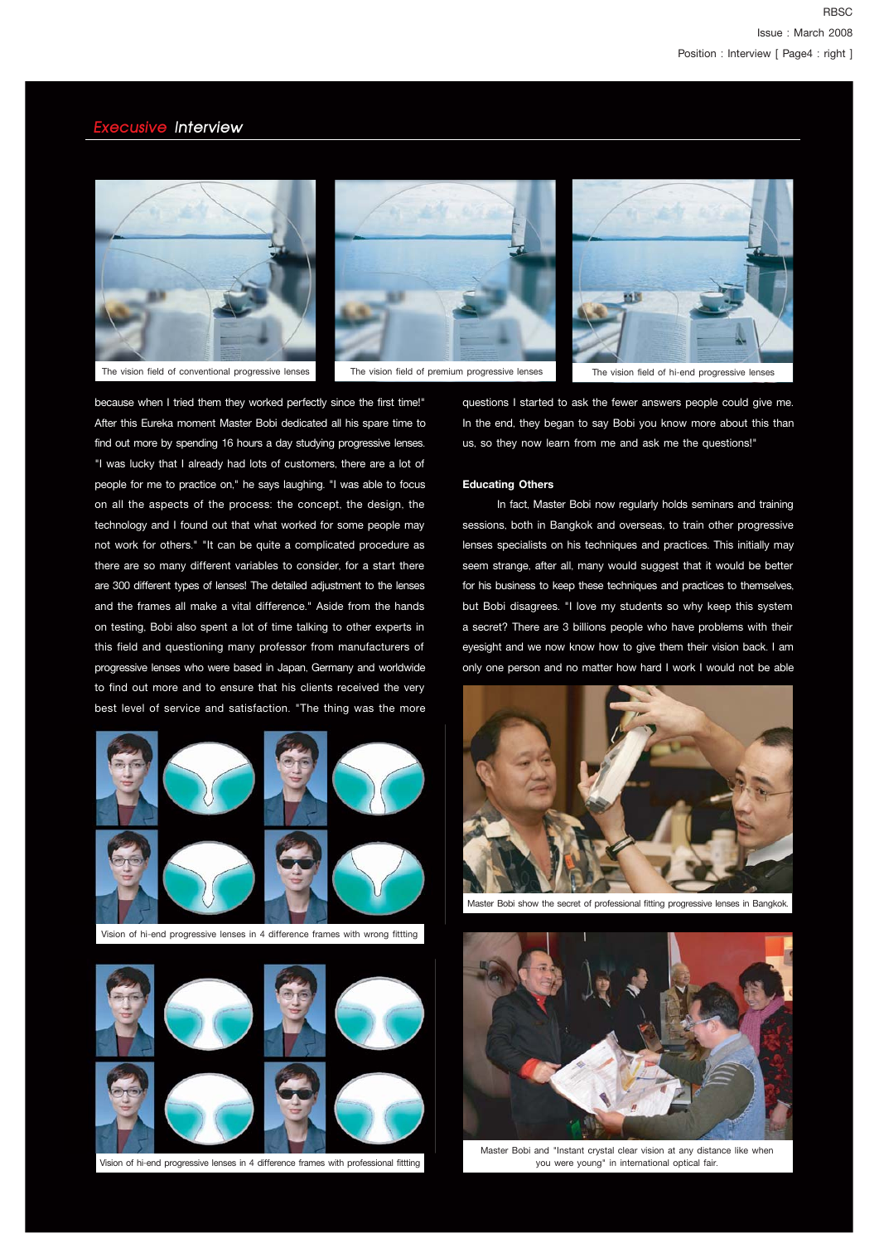



The vision field of premium progressive lenses The vision field of hi-end progressive lenses



because when I tried them they worked perfectly since the first time!" After this Eureka moment Master Bobi dedicated all his spare time to find out more by spending 16 hours a day studying progressive lenses. "I was lucky that I already had lots of customers, there are a lot of people for me to practice on," he says laughing. "I was able to focus on all the aspects of the process: the concept, the design, the technology and I found out that what worked for some people may not work for others." "It can be quite a complicated procedure as there are so many different variables to consider, for a start there are 300 different types of lenses! The detailed adjustment to the lenses and the frames all make a vital difference." Aside from the hands on testing, Bobi also spent a lot of time talking to other experts in this field and questioning many professor from manufacturers of progressive lenses who were based in Japan, Germany and worldwide to find out more and to ensure that his clients received the very best level of service and satisfaction. "The thing was the more



Vision of hi-end progressive lenses in 4 difference frames with wrong fittting



Vision of hi-end progressive lenses in 4 difference frames with professional fittting

questions I started to ask the fewer answers people could give me. In the end, they began to say Bobi you know more about this than us, so they now learn from me and ask me the questions!"

#### **Educating Others**

 In fact, Master Bobi now regularly holds seminars and training sessions, both in Bangkok and overseas, to train other progressive lenses specialists on his techniques and practices. This initially may seem strange, after all, many would suggest that it would be better for his business to keep these techniques and practices to themselves, but Bobi disagrees. "I love my students so why keep this system a secret? There are 3 billions people who have problems with their eyesight and we now know how to give them their vision back. I am only one person and no matter how hard I work I would not be able



Master Bobi show the secret of professional fitting progressive lenses in Bangkok.



Master Bobi and "Instant crystal clear vision at any distance like when you were young" in international optical fair.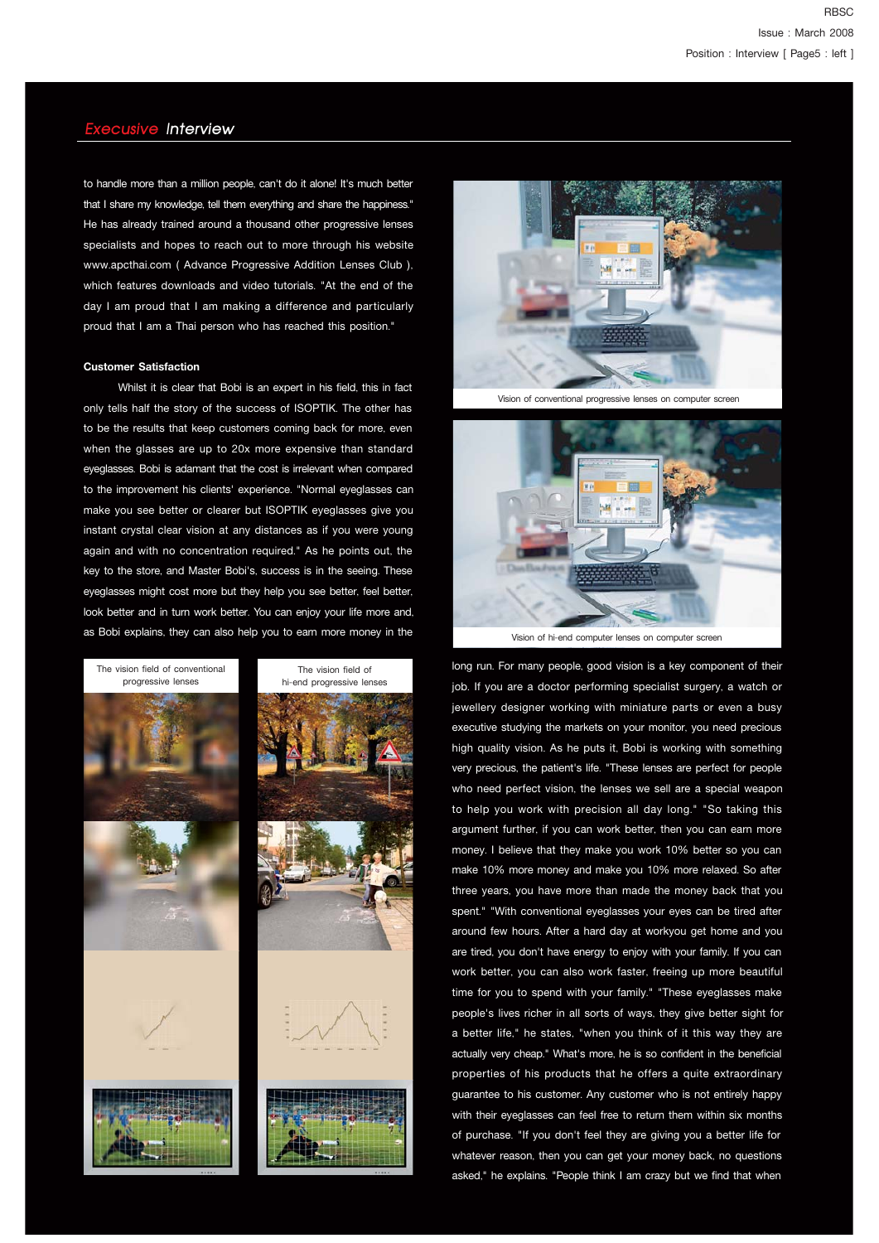to handle more than a million people, can't do it alone! It's much better that I share my knowledge, tell them everything and share the happiness." He has already trained around a thousand other progressive lenses specialists and hopes to reach out to more through his website www.apcthai.com ( Advance Progressive Addition Lenses Club ), which features downloads and video tutorials. "At the end of the day I am proud that I am making a difference and particularly proud that I am a Thai person who has reached this position."

### **Customer Satisfaction**

 Whilst it is clear that Bobi is an expert in his field, this in fact only tells half the story of the success of ISOPTIK. The other has to be the results that keep customers coming back for more, even when the glasses are up to 20x more expensive than standard eyeglasses. Bobi is adamant that the cost is irrelevant when compared to the improvement his clients' experience. "Normal eyeglasses can make you see better or clearer but ISOPTIK eyeglasses give you instant crystal clear vision at any distances as if you were young again and with no concentration required." As he points out, the key to the store, and Master Bobi's, success is in the seeing. These eyeglasses might cost more but they help you see better, feel better, look better and in turn work better. You can enjoy your life more and, as Bobi explains, they can also help you to earn more money in the





Vision of conventional progressive lenses on computer screen



Vision of hi-end computer lenses on computer screen

long run. For many people, good vision is a key component of their job. If you are a doctor performing specialist surgery, a watch or jewellery designer working with miniature parts or even a busy executive studying the markets on your monitor, you need precious high quality vision. As he puts it, Bobi is working with something very precious, the patient's life. "These lenses are perfect for people who need perfect vision, the lenses we sell are a special weapon to help you work with precision all day long." "So taking this argument further, if you can work better, then you can earn more money. I believe that they make you work 10% better so you can make 10% more money and make you 10% more relaxed. So after three years, you have more than made the money back that you spent." "With conventional eyeglasses your eyes can be tired after around few hours. After a hard day at workyou get home and you are tired, you don't have energy to enjoy with your family. If you can work better, you can also work faster, freeing up more beautiful time for you to spend with your family." "These eyeglasses make people's lives richer in all sorts of ways, they give better sight for a better life," he states, "when you think of it this way they are actually very cheap." What's more, he is so confident in the beneficial properties of his products that he offers a quite extraordinary guarantee to his customer. Any customer who is not entirely happy with their eyeglasses can feel free to return them within six months of purchase. "If you don't feel they are giving you a better life for whatever reason, then you can get your money back, no questions asked," he explains. "People think I am crazy but we find that when